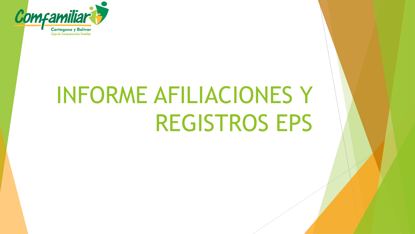

# INFORME AFILIACIONES Y REGISTROS EPS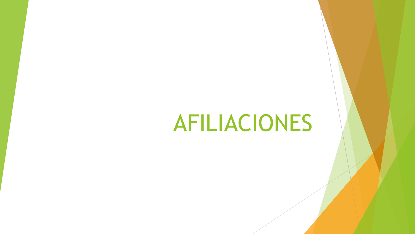# AFILIACIONES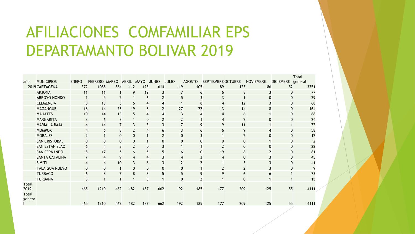# AFILIACIONES COMFAMILIAR EPS DEPARTAMANTO BOLIVAR 2019

|                        |                       |                |                         |                |                |                |                          |                |               |                    |     |                  |                  | <b>Total</b> |
|------------------------|-----------------------|----------------|-------------------------|----------------|----------------|----------------|--------------------------|----------------|---------------|--------------------|-----|------------------|------------------|--------------|
| año                    | <b>MUNICIPIOS</b>     | <b>ENERO</b>   | FEBRERO MARZO           |                | <b>ABRIL</b>   | <b>MAYO</b>    | <b>JUNIO</b>             | <b>JULIO</b>   | <b>AGOSTO</b> | SEPTIEMBRE OCTUBRE |     | <b>NOVIEMBRE</b> | <b>DICIEMBRE</b> | general      |
|                        | 2019 CARTAGENA        | 372            | 1088                    | 364            | 112            | 125            | 614                      | 119            | 105           | 89                 | 125 | 86               | 52               | 3251         |
|                        | <b>ARJONA</b>         | 11             | 11                      | 1              | 9              | 12             | 3                        | 7              | 6             | 6                  | 8   | 3                | 0                | 77           |
|                        | <b>ARROYO HONDO</b>   |                | 5                       | $\overline{2}$ |                | 6              | $\overline{2}$           | 5              | 3             | 3                  |     | $\mathbf 0$      | 0                | 29           |
|                        | <b>CLEMENCIA</b>      | 8              | 13                      | 5              | 6              | 4              | 4                        |                | 8             | $\overline{4}$     | 12  | 3                | 0                | 68           |
|                        | <b>MAGANGUE</b>       | 16             | 14                      | 23             | 19             | 6              | $\overline{\phantom{a}}$ | 27             | 22            | 13                 | 14  | 8                | 0                | 164          |
|                        | <b>MAHATES</b>        | 10             | 14                      | 13             | 5              | 4              | 4                        | 3              | 4             | $\overline{4}$     | 6   |                  | 0                | 68           |
|                        | <b>MARGARITA</b>      | 3              | $6\phantom{1}6$         | 3              |                | $\mathbf 0$    |                          |                |               | 4                  |     | 0                | 0                | 24           |
|                        | <b>MARIA LA BAJA</b>  | 4              | 14                      | 7              | 3              | 3              | 3                        | 7              | 9             | 9                  | 11  |                  |                  | 72           |
|                        | <b>MOMPOX</b>         | 4              | 6                       | 8              | $\overline{2}$ |                | 6                        | 3              | 6             | 6                  | 9   | 4                | 0                | 58           |
|                        | <b>MORALES</b>        | $\overline{2}$ | $\mathbf{1}$            | $\pmb{0}$      | $\mathbf{0}$   |                | $\overline{2}$           | 0              | 3             | 1                  | 2   | $\mathbf 0$      | 0                | 12           |
|                        | <b>SAN CRISTOBAL</b>  | $\mathbf{0}$   | $\mathbf 0$             | 0              | $\mathbf{0}$   |                | $\mathbf{0}$             | $\mathbf{0}$   | 0             | $\mathbf 0$        | 0   |                  | 0                |              |
|                        | <b>SAN ESTANISLAO</b> | 6              | $\overline{\mathbf{4}}$ | 3              | $\overline{2}$ | $\mathbf 0$    | 3                        |                |               | $\overline{2}$     | 0   | $\mathbf 0$      | 0                | 22           |
|                        | <b>SAN FERNANDO</b>   | 8              | 17                      | 5              | 6              | 5              | 5                        | 6              | 0             | 19                 | 8   | $\overline{2}$   | 0                | 81           |
|                        | <b>SANTA CATALINA</b> |                | $\overline{4}$          | 9              |                |                |                          | 4              |               | $\overline{4}$     | 0   | 3                | 0                | 45           |
|                        | <b>SIMITI</b>         | 4              | $\overline{4}$          | 10             | 3              | 6              | 3                        | $\overline{2}$ |               |                    | 3   | 3                | $\Omega$         | 41           |
|                        | <b>TALAIGUA NUEVO</b> | 0              | $\mathbf{0}$            | $\mathbf 1$    | 0              | $\mathbf 0$    | $\mathbf 0$              | 0              |               |                    |     | 3                | 0                | 9            |
|                        | <b>TURBACO</b>        | 6              | 8                       | 7              | 8              | $\overline{3}$ | 5                        | 5              | 9             | 9                  | 6   | 6                |                  | 73           |
|                        | <b>TURBANA</b>        |                |                         |                |                |                |                          | 0              | 2             |                    | 0   |                  |                  | 15           |
| <b>Total</b><br>2019   |                       | 465            | 1210                    | 462            | 182            | 187            | 662                      | 192            | 185           | 177                | 209 | 125              | 55               | 4111         |
| <b>Total</b><br>genera |                       |                |                         |                |                |                |                          |                |               |                    |     |                  |                  |              |
|                        |                       | 465            | 1210                    | 462            | 182            | 187            | 662                      | 192            | 185           | 177                | 209 | 125              | 55               | 4111         |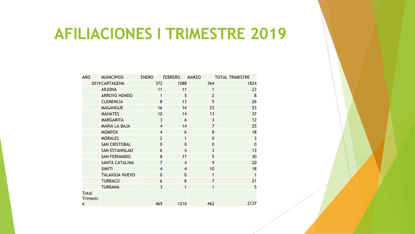## **AFILIACIONES I TRIMESTRE 2019**

| AÑO                      | <b>MUNICIPIOS</b>     | <b>ENERO</b>            | <b>FEBRERO</b>          | <b>MARZO</b>            | <b>TOTAL TRIMESTRE</b>  |
|--------------------------|-----------------------|-------------------------|-------------------------|-------------------------|-------------------------|
|                          | 2019 CARTAGENA        | 372                     | 1088                    | 364                     | 1824                    |
|                          | <b>ARJONA</b>         | 11                      | 11                      | 1                       | 23                      |
|                          | <b>ARROYO HONDO</b>   | 1                       | 5                       | $\overline{2}$          | 8                       |
|                          | <b>CLEMENCIA</b>      | 8                       | 13                      | 5                       | 26                      |
|                          | <b>MAGANGUE</b>       | 16                      | 14                      | 23                      | 53                      |
|                          | <b>MAHATES</b>        | 10                      | 14                      | 13                      | 37                      |
|                          | <b>MARGARITA</b>      | $\overline{3}$          | 6                       | $\overline{3}$          | 12                      |
|                          | <b>MARIA LA BAJA</b>  | $\overline{\mathbf{4}}$ | 14                      | 7                       | 25                      |
|                          | <b>MOMPOX</b>         | $\overline{4}$          | 6                       | 8                       | 18                      |
|                          | <b>MORALES</b>        | $\overline{2}$          | $\mathbf{1}$            | $\mathbf 0$             | $\overline{\mathbf{3}}$ |
|                          | <b>SAN CRISTOBAL</b>  | $\mathbf 0$             | $\overline{0}$          | $\mathbf 0$             | $\mathbf 0$             |
|                          | <b>SAN ESTANISLAO</b> | 6                       | $\overline{\mathbf{4}}$ | $\overline{\mathbf{3}}$ | 13                      |
|                          | <b>SAN FERNANDO</b>   | 8                       | 17                      | 5                       | 30                      |
|                          | <b>SANTA CATALINA</b> | 7                       | $\overline{\mathbf{4}}$ | 9                       | 20                      |
|                          | <b>SIMITI</b>         | $\overline{4}$          | $\overline{\mathbf{4}}$ | 10                      | 18                      |
|                          | <b>TALAIGUA NUEVO</b> | $\mathbf 0$             | $\mathbf 0$             | $\mathbf{1}$            | $\mathbf{1}$            |
|                          | <b>TURBACO</b>        | 6                       | 8                       | $\overline{7}$          | 21                      |
|                          | <b>TURBANA</b>        | $\overline{\mathbf{3}}$ | $\mathbf{1}$            | $\mathbf{1}$            | 5                       |
| <b>Total</b><br>Trimestr |                       |                         |                         |                         |                         |
| e                        |                       | 465                     | 1210                    | 462                     | 2137                    |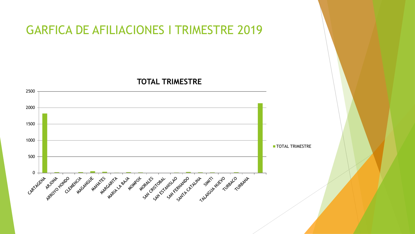### GARFICA DE AFILIACIONES I TRIMESTRE 2019

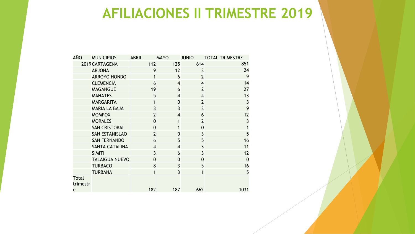## **AFILIACIONES II TRIMESTRE 2019**

| AÑO                      | <b>MUNICIPIOS</b>     | <b>ABRIL</b>   | <b>MAYO</b>    | <b>JUNIO</b>            | <b>TOTAL TRIMESTRE</b>  |
|--------------------------|-----------------------|----------------|----------------|-------------------------|-------------------------|
|                          | 2019 CARTAGENA        | 112            | 125            | 614                     | 851                     |
|                          | <b>ARJONA</b>         | 9              | 12             | 3                       | 24                      |
|                          | <b>ARROYO HONDO</b>   | 1              | 6              | $\overline{2}$          | 9                       |
|                          | <b>CLEMENCIA</b>      | 6              | $\overline{4}$ | $\overline{\mathbf{4}}$ | 14                      |
|                          | <b>MAGANGUE</b>       | 19             | 6              | $\overline{2}$          | 27                      |
|                          | <b>MAHATES</b>        | 5              | $\overline{4}$ | $\overline{\mathbf{4}}$ | 13                      |
|                          | <b>MARGARITA</b>      | 1              | $\overline{0}$ | $\overline{2}$          | $\overline{\mathbf{3}}$ |
|                          | <b>MARIA LA BAJA</b>  | $\overline{3}$ | $\overline{3}$ | $\overline{3}$          | 9                       |
|                          | <b>MOMPOX</b>         | $\overline{2}$ | $\overline{4}$ | 6                       | 12                      |
|                          | <b>MORALES</b>        | $\overline{0}$ | $\mathbf{1}$   | $\overline{2}$          | $\overline{3}$          |
|                          | <b>SAN CRISTOBAL</b>  | $\overline{0}$ | 1              | $\overline{0}$          | $\overline{1}$          |
|                          | <b>SAN ESTANISLAO</b> | $\overline{2}$ | $\mathbf 0$    | $\overline{3}$          | $\overline{5}$          |
|                          | <b>SAN FERNANDO</b>   | 6              | 5              | 5                       | 16                      |
|                          | <b>SANTA CATALINA</b> | $\overline{4}$ | $\overline{4}$ | $\overline{3}$          | 11                      |
|                          | <b>SIMITI</b>         | $\overline{3}$ | 6              | $\overline{3}$          | 12                      |
|                          | <b>TALAIGUA NUEVO</b> | $\overline{0}$ | $\overline{0}$ | $\overline{0}$          | $\overline{0}$          |
|                          | <b>TURBACO</b>        | 8              | $\overline{3}$ | 5                       | 16                      |
|                          | <b>TURBANA</b>        | $\mathbf{1}$   | $\overline{3}$ | $\mathbf{1}$            | 5                       |
| <b>Total</b><br>trimestr |                       |                |                |                         |                         |
| e                        |                       | 182            | 187            | 662                     | 1031                    |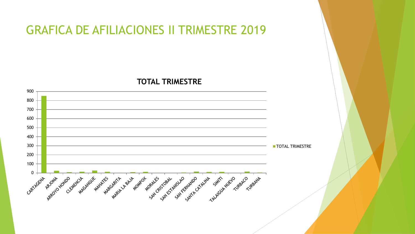## GRAFICA DE AFILIACIONES II TRIMESTRE 2019

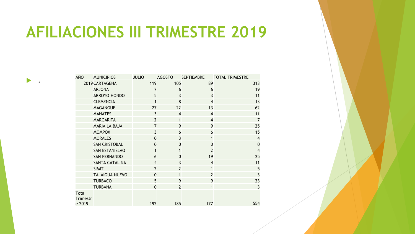# **AFILIACIONES III TRIMESTRE 2019**

.

| <b>AÑO</b>              | <b>MUNICIPIOS</b>     | <b>JULIO</b>   | <b>AGOSTO</b>           | <b>SEPTIEMBRE</b>       | <b>TOTAL TRIMESTRE</b> |
|-------------------------|-----------------------|----------------|-------------------------|-------------------------|------------------------|
|                         | 2019 CARTAGENA        | 119            | 105                     | 89                      | 313                    |
|                         | <b>ARJONA</b>         | $\overline{7}$ | 6                       | 6                       | 19                     |
|                         | <b>ARROYO HONDO</b>   | 5              | $\overline{3}$          | $\overline{3}$          | 11                     |
|                         | <b>CLEMENCIA</b>      | 1              | 8                       | $\overline{4}$          | 13                     |
|                         | <b>MAGANGUE</b>       | 27             | 22                      | 13                      | 62                     |
|                         | <b>MAHATES</b>        | 3              | $\overline{\mathbf{4}}$ | $\overline{4}$          | 11                     |
|                         | <b>MARGARITA</b>      | $\overline{2}$ | $\mathbf{1}$            | $\overline{4}$          | $\overline{7}$         |
|                         | <b>MARIA LA BAJA</b>  | $\overline{7}$ | 9                       | 9                       | 25                     |
|                         | <b>MOMPOX</b>         | $\overline{3}$ | 6                       | 6                       | 15                     |
|                         | <b>MORALES</b>        | $\mathbf 0$    | $\overline{3}$          | 1                       | $\overline{4}$         |
|                         | <b>SAN CRISTOBAL</b>  | $\mathbf 0$    | $\mathbf 0$             | $\mathbf 0$             | $\mathbf 0$            |
|                         | <b>SAN ESTANISLAO</b> | $\mathbf{1}$   | $\mathbf{1}$            | $\overline{2}$          | $\overline{4}$         |
|                         | <b>SAN FERNANDO</b>   | 6              | $\mathbf 0$             | 19                      | 25                     |
|                         | <b>SANTA CATALINA</b> | $\overline{4}$ | $\overline{3}$          | $\overline{\mathbf{4}}$ | 11                     |
|                         | <b>SIMITI</b>         | $\overline{2}$ | $\overline{2}$          | 1                       | 5                      |
|                         | <b>TALAIGUA NUEVO</b> | $\mathbf 0$    | $\mathbf{1}$            | $\overline{2}$          | $\overline{3}$         |
|                         | <b>TURBACO</b>        | 5              | 9                       | 9                       | 23                     |
|                         | <b>TURBANA</b>        | $\mathbf 0$    | $\overline{2}$          | 1                       | $\overline{3}$         |
| <b>Tota</b><br>Trimestr |                       |                |                         |                         |                        |
| e 2019                  |                       | 192            | 185                     | 177                     | 554                    |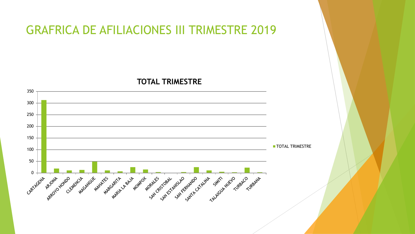### GRAFRICA DE AFILIACIONES III TRIMESTRE 2019

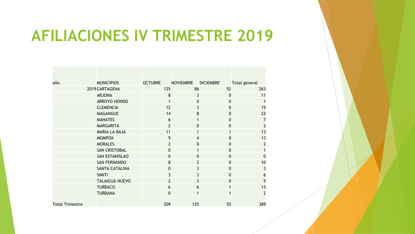## **AFILIACIONES IV TRIMESTRE 2019**

| año                    | <b>MUNICIPIOS</b>     | <b>OCTUBRE</b> | <b>NOVIEMBRE</b> | <b>DICIEMBRE</b> | Total general   |
|------------------------|-----------------------|----------------|------------------|------------------|-----------------|
|                        | 2019 CARTAGENA        | 125            | 86               | 52               | 263             |
|                        | <b>ARJONA</b>         | 8              | 3                | $\mathbf 0$      | 11              |
|                        | <b>ARROYO HONDO</b>   | 1              | $\mathbf 0$      | $\mathbf 0$      | $\mathbf{1}$    |
|                        | <b>CLEMENCIA</b>      | 12             | $\overline{3}$   | $\overline{0}$   | 15              |
|                        | <b>MAGANGUE</b>       | 14             | 8                | 0                | 22              |
|                        | <b>MAHATES</b>        | 6              | 1                | $\overline{0}$   | $\overline{7}$  |
|                        | <b>MARGARITA</b>      | $\overline{2}$ | $\mathbf 0$      | $\overline{0}$   | $\overline{2}$  |
|                        | <b>MARIA LA BAJA</b>  | 11             | 1                |                  | 13              |
|                        | <b>MOMPOX</b>         | 9              | $\overline{4}$   | $\overline{0}$   | 13              |
|                        | <b>MORALES</b>        | $\overline{2}$ | $\mathbf 0$      | $\mathbf 0$      | $\overline{2}$  |
|                        | <b>SAN CRISTOBAL</b>  | $\mathbf 0$    | $\mathbf{1}$     | $\mathbf 0$      | $\mathbf{1}$    |
|                        | <b>SAN ESTANISLAO</b> | $\Omega$       | $\mathbf{0}$     | 0                | $\Omega$        |
|                        | <b>SAN FERNANDO</b>   | 8              | $\overline{2}$   | $\mathbf 0$      | 10              |
|                        | <b>SANTA CATALINA</b> | $\mathbf 0$    | $\overline{3}$   | $\mathbf 0$      | 3               |
|                        | <b>SIMITI</b>         | 3              | 3                | 0                | $6\phantom{1}6$ |
|                        | <b>TALAIGUA NUEVO</b> | $\overline{2}$ | 3                | 0                | 5               |
|                        | <b>TURBACO</b>        | 6              | 6                | 1                | 13              |
|                        | <b>TURBANA</b>        | $\mathbf 0$    | 1                |                  | $\overline{2}$  |
| <b>Total Trimestre</b> |                       | 209            | 125              | 55               | 389             |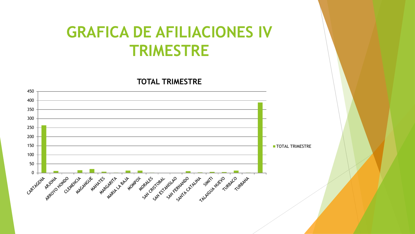## **GRAFICA DE AFILIACIONES IV TRIMESTRE**

![](_page_10_Figure_2.jpeg)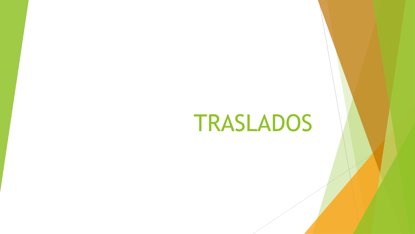# TRASLADOS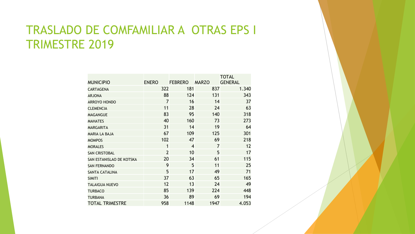## TRASLADO DE COMFAMILIAR A OTRAS EPS I TRIMESTRE 2019

|                          |                |                |                | <b>TOTAL</b>   |
|--------------------------|----------------|----------------|----------------|----------------|
| <b>MUNICIPIO</b>         | <b>ENERO</b>   | <b>FEBRERO</b> | <b>MARZO</b>   | <b>GENERAL</b> |
| <b>CARTAGENA</b>         | 322            | 181            | 837            | 1.340          |
| <b>ARJONA</b>            | 88             | 124            | 131            | 343            |
| <b>ARROYO HONDO</b>      | $\overline{7}$ | 16             | 14             | 37             |
| <b>CLEMENCIA</b>         | 11             | 28             | 24             | 63             |
| <b>MAGANGUE</b>          | 83             | 95             | 140            | 318            |
| <b>MAHATES</b>           | 40             | 160            | 73             | 273            |
| <b>MARGARITA</b>         | 31             | 14             | 19             | 64             |
| <b>MARIA LA BAJA</b>     | 67             | 109            | 125            | 301            |
| <b>MOMPOS</b>            | 102            | 47             | 69             | 218            |
| <b>MORALES</b>           | 1              | 4              | $\overline{7}$ | 12             |
| <b>SAN CRISTOBAL</b>     | $\overline{2}$ | 10             | 5              | 17             |
| SAN ESTANISLAO DE KOTSKA | 20             | 34             | 61             | 115            |
| <b>SAN FERNANDO</b>      | 9              | 5              | 11             | 25             |
| <b>SANTA CATALINA</b>    | 5              | 17             | 49             | 71             |
| <b>SIMITI</b>            | 37             | 63             | 65             | 165            |
| <b>TALAIGUA NUEVO</b>    | 12             | 13             | 24             | 49             |
| <b>TURBACO</b>           | 85             | 139            | 224            | 448            |
| <b>TURBANA</b>           | 36             | 89             | 69             | 194            |
| <b>TOTAL TRIMESTRE</b>   | 958            | 1148           | 1947           | 4.053          |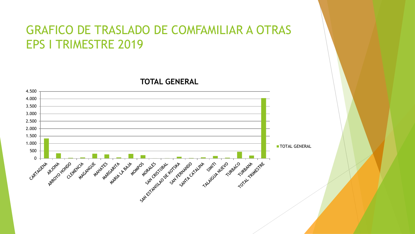## GRAFICO DE TRASLADO DE COMFAMILIAR A OTRAS EPS I TRIMESTRE 2019

![](_page_13_Figure_2.jpeg)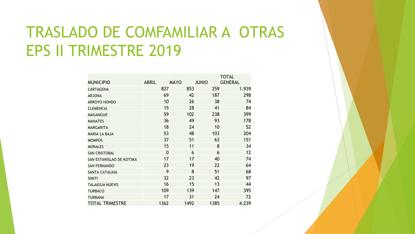# TRASLADO DE COMFAMILIAR A OTRAS EPS II TRIMESTRE 2019

|                          |                |             |              | <b>TOTAL</b>   |
|--------------------------|----------------|-------------|--------------|----------------|
| <b>MUNICIPIO</b>         | <b>ABRIL</b>   | <b>MAYO</b> | <b>JUNIO</b> | <b>GENERAL</b> |
| <b>CARTAGENA</b>         | 827            | 853         | 259          | 1.939          |
| <b>ARJONA</b>            | 69             | 42          | 187          | 298            |
| <b>ARROYO HONDO</b>      | 10             | 26          | 38           | 74             |
| <b>CLEMENCIA</b>         | 15             | 28          | 41           | 84             |
| <b>MAGANGUE</b>          | 59             | 102         | 238          | 399            |
| <b>MAHATES</b>           | 36             | 49          | 93           | 178            |
| <b>MARGARITA</b>         | 18             | 24          | 10           | 52             |
| <b>MARIA LA BAJA</b>     | 53             | 48          | 103          | 204            |
| <b>MOMPOS</b>            | 37             | 51          | 63           | 151            |
| <b>MORALES</b>           | 15             | 11          | 8            | 34             |
| <b>SAN CRISTOBAL</b>     | $\overline{0}$ | 6           | 6            | 12             |
| SAN ESTANISLAO DE KOTSKA | 17             | 17          | 40           | 74             |
| <b>SAN FERNANDO</b>      | 23             | 19          | 22           | 64             |
| <b>SANTA CATALINA</b>    | 9              | 8           | 51           | 68             |
| <b>SIMITI</b>            | 32             | 23          | 42           | 97             |
| <b>TALAIGUA NUEVO</b>    | 16             | 15          | 13           | 44             |
| <b>TURBACO</b>           | 109            | 139         | 147          | 395            |
| <b>TURBANA</b>           | 17             | 31          | 24           | 72             |
| <b>TOTAL TRIMESTRE</b>   | 1362           | 1492        | 1385         | 4.239          |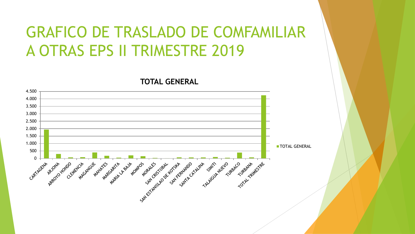# GRAFICO DE TRASLADO DE COMFAMILIAR A OTRAS EPS II TRIMESTRE 2019

![](_page_15_Figure_2.jpeg)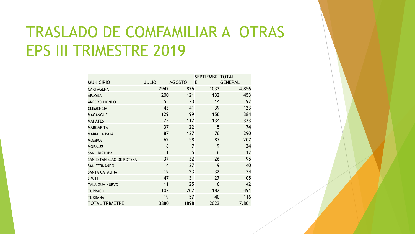# TRASLADO DE COMFAMILIAR A OTRAS EPS III TRIMESTRE 2019

|                          |                |                | SEPTIEMBR TOTAL |                |
|--------------------------|----------------|----------------|-----------------|----------------|
| <b>MUNICIPIO</b>         | <b>JULIO</b>   | <b>AGOSTO</b>  | E               | <b>GENERAL</b> |
| <b>CARTAGENA</b>         | 2947           | 876            | 1033            | 4.856          |
| <b>ARJONA</b>            | 200            | 121            | 132             | 453            |
| <b>ARROYO HONDO</b>      | 55             | 23             | 14              | 92             |
| <b>CLEMENCIA</b>         | 43             | 41             | 39              | 123            |
| <b>MAGANGUE</b>          | 129            | 99             | 156             | 384            |
| <b>MAHATES</b>           | 72             | 117            | 134             | 323            |
| <b>MARGARITA</b>         | 37             | 22             | 15              | 74             |
| <b>MARIA LA BAJA</b>     | 87             | 127            | 76              | 290            |
| <b>MOMPOS</b>            | 62             | 58             | 87              | 207            |
| <b>MORALES</b>           | 8              | $\overline{7}$ | 9               | 24             |
| <b>SAN CRISTOBAL</b>     | 1              | 5              | 6               | 12             |
| SAN ESTANISLAO DE KOTSKA | 37             | 32             | 26              | 95             |
| <b>SAN FERNANDO</b>      | $\overline{4}$ | 27             | 9               | 40             |
| <b>SANTA CATALINA</b>    | 19             | 23             | 32              | 74             |
| <b>SIMITI</b>            | 47             | 31             | 27              | 105            |
| <b>TALAIGUA NUEVO</b>    | 11             | 25             | 6               | 42             |
| <b>TURBACO</b>           | 102            | 207            | 182             | 491            |
| <b>TURBANA</b>           | 19             | 57             | 40              | 116            |
| <b>TOTAL TRIMETRE</b>    | 3880           | 1898           | 2023            | 7.801          |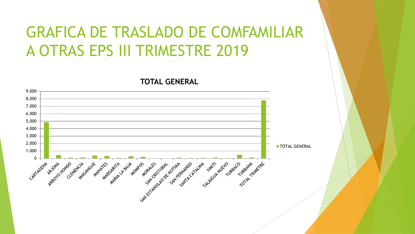# GRAFICA DE TRASLADO DE COMFAMILIAR A OTRAS EPS III TRIMESTRE 2019

![](_page_17_Figure_2.jpeg)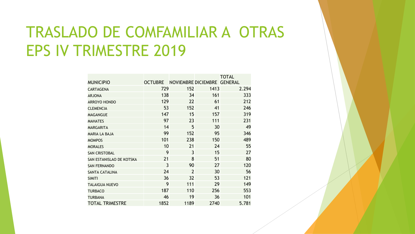# TRASLADO DE COMFAMILIAR A OTRAS EPS IV TRIMESTRE 2019

|                          |                |                             |      | <b>TOTAL</b> |
|--------------------------|----------------|-----------------------------|------|--------------|
| <b>MUNICIPIO</b>         | <b>OCTUBRE</b> | NOVIEMBRE DICIEMBRE GENERAL |      |              |
| <b>CARTAGENA</b>         | 729            | 152                         | 1413 | 2.294        |
| <b>ARJONA</b>            | 138            | 34                          | 161  | 333          |
| <b>ARROYO HONDO</b>      | 129            | 22                          | 61   | 212          |
| <b>CLEMENCIA</b>         | 53             | 152                         | 41   | 246          |
| <b>MAGANGUE</b>          | 147            | 15                          | 157  | 319          |
| <b>MAHATES</b>           | 97             | 23                          | 111  | 231          |
| <b>MARGARITA</b>         | 14             | 5                           | 30   | 49           |
| <b>MARIA LA BAJA</b>     | 99             | 152                         | 95   | 346          |
| <b>MOMPOS</b>            | 101            | 238                         | 150  | 489          |
| <b>MORALES</b>           | 10             | 21                          | 24   | 55           |
| <b>SAN CRISTOBAL</b>     | 9              | 3                           | 15   | 27           |
| SAN ESTANISLAO DE KOTSKA | 21             | 8                           | 51   | 80           |
| <b>SAN FERNANDO</b>      | $\overline{3}$ | 90                          | 27   | 120          |
| <b>SANTA CATALINA</b>    | 24             | $\overline{2}$              | 30   | 56           |
| <b>SIMITI</b>            | 36             | 32                          | 53   | 121          |
| <b>TALAIGUA NUEVO</b>    | 9              | 111                         | 29   | 149          |
| <b>TURBACO</b>           | 187            | 110                         | 256  | 553          |
| <b>TURBANA</b>           | 46             | 19                          | 36   | 101          |
| <b>TOTAL TRIMESTRE</b>   | 1852           | 1189                        | 2740 | 5.781        |